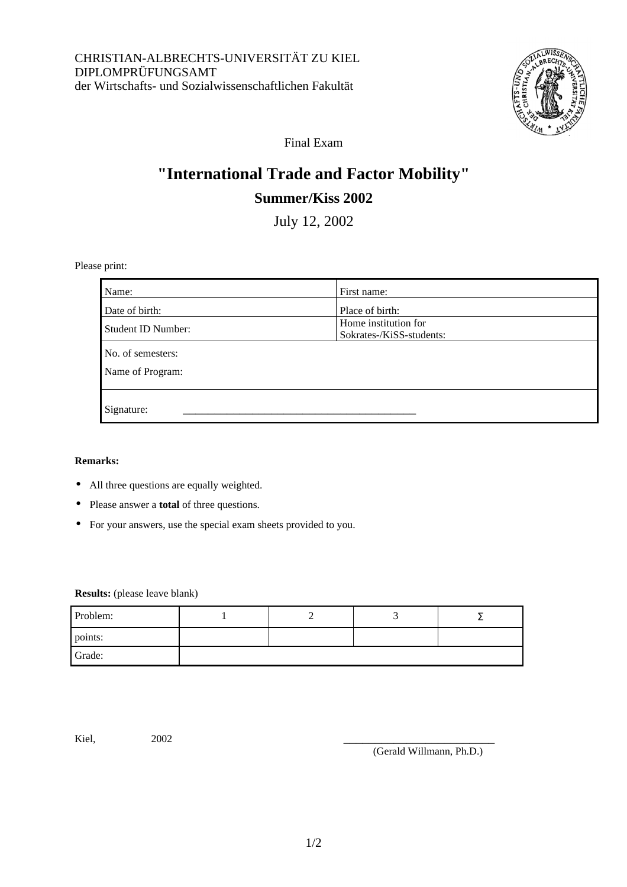

Final Exam

# **"International Trade and Factor Mobility" Summer/Kiss 2002**

July 12, 2002

Please print:

| Name:                     | First name:                                      |  |  |
|---------------------------|--------------------------------------------------|--|--|
| Date of birth:            | Place of birth:                                  |  |  |
| <b>Student ID Number:</b> | Home institution for<br>Sokrates-/KiSS-students: |  |  |
| No. of semesters:         |                                                  |  |  |
| Name of Program:          |                                                  |  |  |
|                           |                                                  |  |  |
| Signature:                |                                                  |  |  |

#### **Remarks:**

- All three questions are equally weighted.
- Please answer a **total** of three questions.
- For your answers, use the special exam sheets provided to you.

**Results:** (please leave blank)

| Problem: |  |  |
|----------|--|--|
| points:  |  |  |
| Grade:   |  |  |

Kiel, 2002 \_\_\_\_\_\_\_\_\_\_\_\_\_\_\_\_\_\_\_\_\_\_\_\_

(Gerald Willmann, Ph.D.)